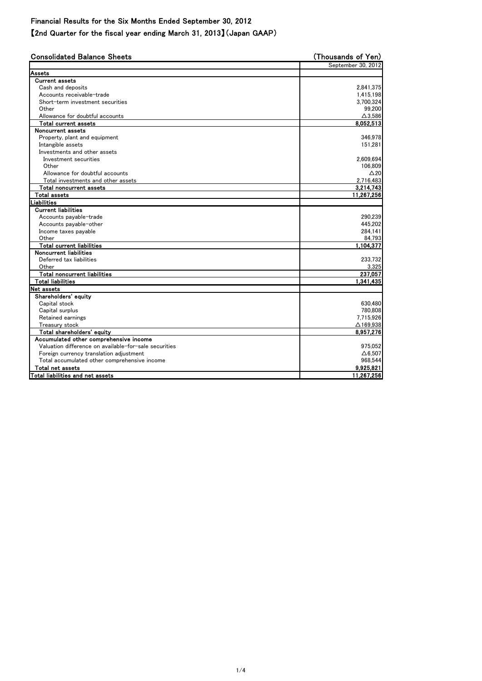Financial Results for the Six Months Ended September 30, 2012

【2nd Quarter for the fiscal year ending March 31, 2013】(Japan GAAP)

| <b>Consolidated Balance Sheets</b>                    | (Thousands of Yen)  |  |
|-------------------------------------------------------|---------------------|--|
|                                                       | September 30, 2012  |  |
| Assets                                                |                     |  |
| <b>Current assets</b>                                 |                     |  |
| Cash and deposits                                     | 2,841,375           |  |
| Accounts receivable-trade                             | 1,415,198           |  |
| Short-term investment securities                      | 3,700,324           |  |
| Other                                                 | 99,200              |  |
| Allowance for doubtful accounts                       | $\Delta$ 3,586      |  |
| <b>Total current assets</b>                           | 8,052,513           |  |
| Noncurrent assets                                     |                     |  |
| Property, plant and equipment                         | 346,978             |  |
| Intangible assets                                     | 151,281             |  |
| Investments and other assets                          |                     |  |
| Investment securities                                 | 2,609,694           |  |
| Other                                                 | 106,809             |  |
| Allowance for doubtful accounts                       | $\triangle 20$      |  |
| Total investments and other assets                    | 2,716,483           |  |
| <b>Total noncurrent assets</b>                        | 3,214,743           |  |
| <b>Total assets</b>                                   | 11,267,256          |  |
| Liabilities                                           |                     |  |
| <b>Current liabilities</b>                            |                     |  |
| Accounts payable-trade                                | 290,239             |  |
| Accounts payable-other                                | 445,202             |  |
| Income taxes payable                                  | 284,141             |  |
| Other                                                 | 84,793              |  |
| <b>Total current liabilities</b>                      | 1,104,377           |  |
| <b>Noncurrent liabilities</b>                         |                     |  |
| Deferred tax liabilities                              | 233,732             |  |
| Other                                                 | 3,325               |  |
| <b>Total noncurrent liabilities</b>                   | 237,057             |  |
| <b>Total liabilities</b>                              | 1,341,435           |  |
| Net assets                                            |                     |  |
| Shareholders' equity                                  |                     |  |
| Capital stock                                         | 630,480             |  |
| Capital surplus                                       | 780,808             |  |
| Retained earnings                                     | 7,715,926           |  |
| Treasury stock                                        | $\triangle$ 169,938 |  |
| Total shareholders' equity                            | 8,957,276           |  |
| Accumulated other comprehensive income                |                     |  |
| Valuation difference on available-for-sale securities | 975,052             |  |
| Foreign currency translation adjustment               | $\Delta 6,507$      |  |
| Total accumulated other comprehensive income          | 968,544             |  |
| Total net assets                                      | 9,925,821           |  |
| Total liabilities and net assets                      | 11,267,256          |  |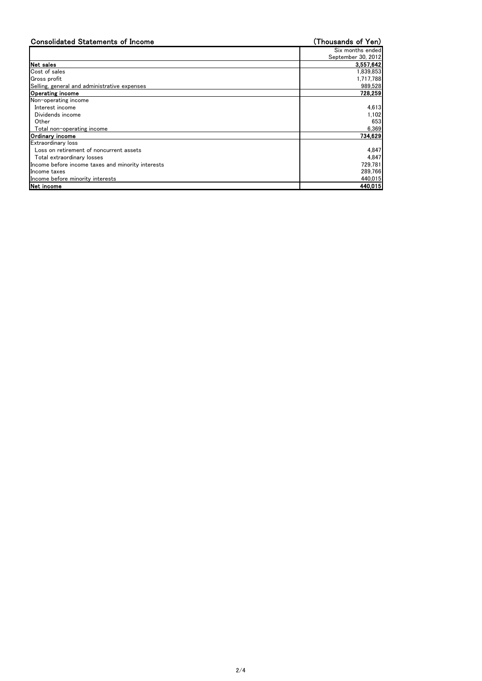| <b>Consolidated Statements of Income</b>          | (Thousands of Yen) |
|---------------------------------------------------|--------------------|
|                                                   | Six months ended   |
|                                                   | September 30, 2012 |
| Net sales                                         | 3,557,642          |
| Cost of sales                                     | 1,839,853          |
| Gross profit                                      | 1,717,788          |
| Selling, general and administrative expenses      | 989,528            |
| <b>Operating income</b>                           | 728,259            |
| Non-operating income                              |                    |
| Interest income                                   | 4,613              |
| Dividends income                                  | 1,102              |
| Other                                             | 653                |
| Total non-operating income                        | 6,369              |
| Ordinary income                                   | 734,629            |
| <b>Extraordinary loss</b>                         |                    |
| Loss on retirement of noncurrent assets           | 4,847              |
| Total extraordinary losses                        | 4,847              |
| Income before income taxes and minority interests | 729,781            |
| Income taxes                                      | 289,766            |
| Income before minority interests                  | 440,015            |
| Net income                                        | 440,015            |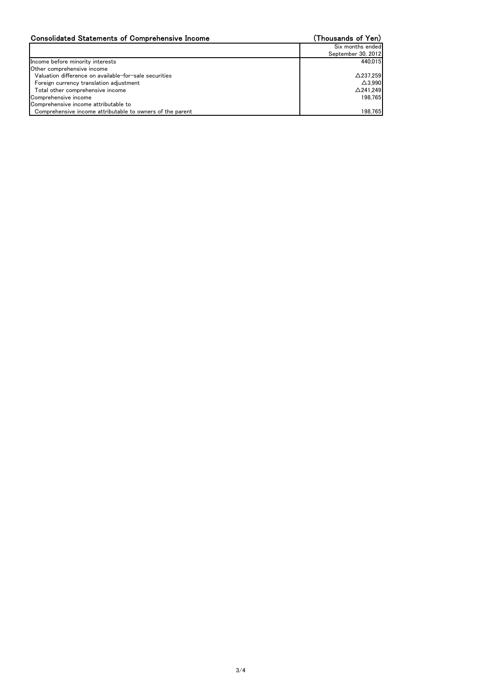| <b>Consolidated Statements of Comprehensive Income</b>    | (Thousands of Yen)  |
|-----------------------------------------------------------|---------------------|
|                                                           | Six months ended    |
|                                                           | September 30, 2012  |
| Income before minority interests                          | 440,015             |
| Other comprehensive income                                |                     |
| Valuation difference on available-for-sale securities     | $\triangle$ 237,259 |
| Foreign currency translation adjustment                   | $\triangle$ 3,990   |
| Total other comprehensive income                          | $\triangle$ 241,249 |
| Comprehensive income                                      | 198,765             |
| Comprehensive income attributable to                      |                     |
| Comprehensive income attributable to owners of the parent | 198,765             |